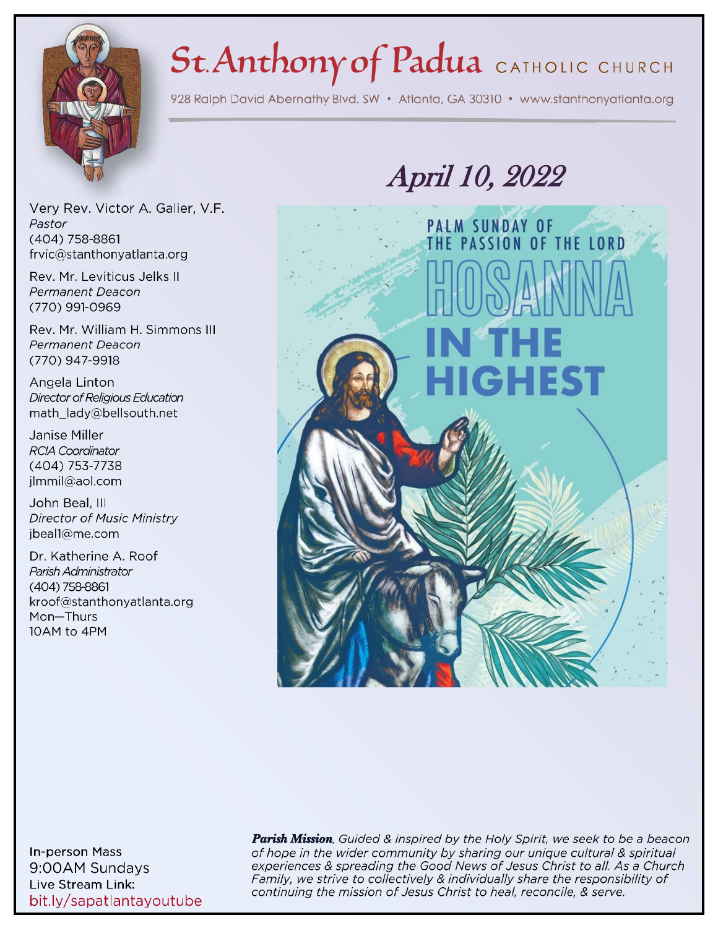# St. Anthony of Padua CATHOLIC CHURCH

928 Ralph David Abernathy Blvd. SW · Atlanta, GA 30310 · www.stanthonyatlanta.org



Very Rev. Victor A. Galier, V.F. Pastor (404) 758-8861 frvic@stanthonyatlanta.org

Rev. Mr. Leviticus Jelks II Permanent Deacon (770) 991-0969

Rev. Mr. William H. Simmons III Permanent Deacon (770) 947-9918

Angela Linton Director of Religious Education math\_lady@bellsouth.net

Janise Miller **RCIA Coordinator** (404) 753-7738 jlmmil@aol.com

John Beal, III **Director of Music Ministry** ibeal1@me.com

Dr. Katherine A. Roof Parish Administrator  $(404)$  758-8861 kroof@stanthonyatlanta.org Mon-Thurs 10AM to 4PM

# *April 10, 2022*



**In-person Mass** 9:00AM Sundays Live Stream Link: bit.ly/sapatlantayoutube **Parish Mission.** Guided & inspired by the Holy Spirit, we seek to be a beacon of hope in the wider community by sharing our unique cultural & spiritual experiences & spreading the Good News of Jesus Christ to all. As a Church Family, we strive to collectively & individually share the responsibility of continuing the mission of Jesus Christ to heal, reconcile, & serve.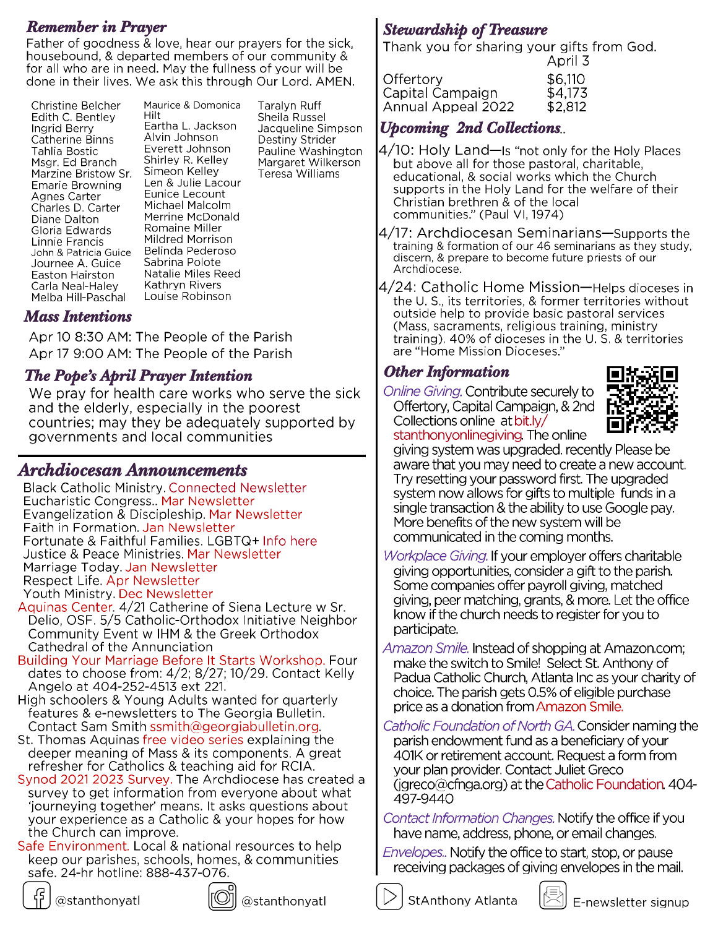**Remember in Prayer**<br>Father of goodness & love, hear our prayers for the sick, **Stewardship of Treasure** housebound, & departed members of our community & for all who are in need. May the fullness of your will be done in their lives. We ask this through Our Lord. AMEN.

Christine Belcher Edith C. Bentley Ingrid Berry Catherine Binns Tahlia Bostic Msgr. Ed Branch Marzine Bristow Sr. **Emarie Browning** Agnes Carter Charles D. Carter Diane Dalton Gloria Edwards Linnie Francis John & Patricia Guice Journee A. Guice Easton Hairston Carla Neal-Haley Melba Hill-Paschal

Maurice & Domonica Hilt Eartha L. Jackson Alvin Johnson Everett Johnson Shirley R. Kelley Simeon Kelley Len & Julie Lacour Eunice Lecount Michael Malcolm Merrine McDonald Romaine Miller Mildred Morrison Belinda Pederoso Sabrina Polote Natalie Miles Reed Kathryn Rivers Louise Robinson

Taralyn Ruff Sheila Russel Jacqueline Simpson Destiny Strider Pauline Washington Margaret Wilkerson Teresa Williams

## *Mass Intentions*

Apr 10 8:30 AM: The People of the Parish Apr 17 9:00 AM: The People of the Parish

# **The Pope's April Prayer Intention**

We pray for health care works who serve the sick and the elderly, especially in the poorest countries; may they be adequately supported by governments and local communities

## *Archdiocesan Anno[uncements](https://archatl.com/ministries-services/black-catholic-ministry/parish-connection-connected-newsletter/)*

**Black Catholic Ministry. Connected Newsletter** Eucharistic Congress.. Mar Newsletter Evangelization & Discipleship. Mar Newsletter Faith in Formation. Jan Newsletter Fortunate & Faithful Families. LGBTQ+ Info here Justice & Peace Ministries. Mar Newsletter Marriage Today. Jan Newsletter Respect Life. Apr Newsletter Youth Ministry. Dec Newsletter

- Aquinas Center. 4/21 Catherine of Siena Lecture w Sr. Delio, OSF. 5/5 Catholic-Orthodox Initiative Neighbor Community Event w IHM & the Greek Orthodox Cathedral of the Annunciation
- Building Your Marriage Before It Starts Workshop. Four dates to choose from: 4/2; 8/27; 10/29. Contact Kelly Angelo at 404-252-4513 ext 221.
- High schoolers & Young Adults wanted for quarterly features & e-newsletters to The Georgia Bulletin. Contact Sam Smith ssmith@georgiabulletin.org.
- St. Thomas Aquinas free video series explaining the deeper meaning of Mass & its components. A great refresher for Catholics & teaching aid for RCIA.
- Synod 2021 2023 Survey. The Archdiocese has created a survey to get information from everyone about what 'journeying together' means. It asks questions about your experience as a Catholic & your hopes for how the Church can improve.
- Safe Environment. Local & national resources to help keep our parishes, schools, homes, & communities safe. 24-hr hotline: 888-437-076.





@stanthonyatl

Thank you for sharing your gifts from God. Anril 3

|                    | $\sim$ $\sim$ |
|--------------------|---------------|
| Offertorv          | \$6,110       |
| Capital Campaign   | \$4,173       |
| Annual Appeal 2022 | \$2,812       |

# *Upcoming 2nd Collections*

- 4/10: Holy Land—Is "not only for the Holy Places but above all for those pastoral, charitable, educational, & social works which the Church supports in the Holy Land for the welfare of their Christian brethren & of the local communities." (Paul VI, 1974)
- 4/17: Archdiocesan Seminarians—Supports the training & formation of our 46 seminarians as they study, discern, & prepare to become future priests of our Archdiocese.
- 4/24: Catholic Home Mission—Helps dioceses in the U.S., its territories, & former territories without outside help to provide basic pastoral services (Mass, sacraments, religious training, ministry training). 40% of dioceses in the U.S. & territories are "Home Mission Dioceses."

# *Other Information*

Online Giving. Contribute securely to Offertory, Capital Campaign, & 2nd Collections online at bit.ly/ stanthonyonlinegiving. The online



giving system was upgraded. recently Please be aware that you may need to create a new account. Try resetting your password first. The upgraded system now allows for gifts to multiple funds in a single transaction & the ability to use Google pay. More benefits of the new system will be communicated in the coming months.

- Workplace Giving. If your employer offers charitable giving opportunities, consider a gift to the parish. Some companies offer payroll giving, matched giving, peer matching, grants, & more. Let the office know if the church needs to register for you to participate.
- *Amazon Smile.* Instead of shopping at Amazon.com; make the switch to Smile! Select St. Anthony of Padua Catholic Church, Atlanta Inc as your charity of choice. The parish gets 0.5% of eligible purchase price as a donation from Amazon Smile.
- Catholic Foundation of North GA. Consider naming the parish endowment fund as a beneficiary of your 401K or retirement account. Request a form from your plan provider. Contact Juliet Greco (jgreco@cfnga.org) at the Catholic Foundation.  $404-$ 497-9440

Contact Information Changes. Notify the office if you have name, address, phone, or email changes.

*Envelopes..* Notify the office to start, stop, or pause receiving packages of giving envelopes in the mail.

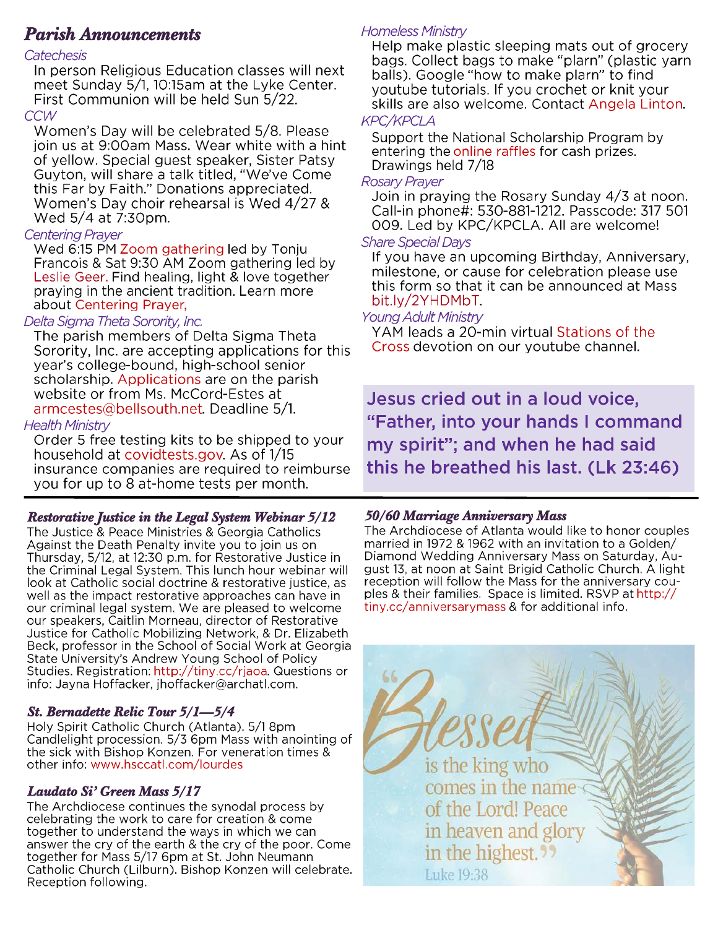# *Parish Announcements*

### Catechesis

In person Religious Education classes will next meet Sunday 5/1, 10:15am at the Lyke Center. First Communion will be held Sun 5/22. **CCW** 

Women's Day will be celebrated 5/8. Please join us at 9:00am Mass. Wear white with a hint of yellow. Special guest speaker, Sister Patsy Guyton, will share a talk titled, "We've Come this Far by Faith." Donations appreciated. Women's Day choir rehearsal is Wed 4/27 & Wed 5/4 at 7:30pm.

### Centering Praver

Wed 6:15 PM Zoom gathering led by Tonju Francois & Sat 9:30 AM Zoom gathering led by Leslie Geer. Find healing, light & love together praying in the ancient tradition. Learn more about Centering Prayer.

### Delta Sigma Theta Sorority, Inc.

The parish members of Delta Sigma Theta Sorority, Inc. are accepting applications for this year's college-bound, high-school senior scholarship. Applications are on the parish website or from Ms. McCord-Estes at armcestes@bellsouth.net. Deadline 5/1.

### **Health Ministry**

Order 5 free testing kits to be shipped to your household at covidtests.gov. As of 1/15 insurance companies are required to reimburse you for up to 8 at-home tests per month.

*Restorative Justice in the Legal System Webinar 5/12* Against the Death Penalty invite you to join us on Thursday, 5/12, at 12:30 p.m. for Restorative Justice in the Criminal Legal System. This lunch hour webinar will look at Catholic social doctrine & restorative justice, as well as the impact restorative approaches can have in our criminal legal system. We are pleased to welcome our speakers, Caitlin Morneau, director of Restorative Justice for Catholic Mobilizing Network, & Dr. Elizabeth Beck, professor in the School of Social Work at Georgia State University's Andrew Young School of Policy Studies. Registration: http://tiny.cc/rjaoa. Questions or info: Jayna Hoffacker, jhoffacker@archatl.com.

### *St. Bernadette Relic Tour 5/1***—***5/4*

Holy Spirit Catholic Church (Atlanta). 5/1 8pm Candlelight procession. 5/3 6pm Mass with anointing of the sick with Bishop Konzen. For veneration times & other info: www.hsccatl.com/lourdes

**Laudato Si' Green Mass 5/17**<br>The Archdiocese continues the synodal process by celebrating the work to care for creation & come together to understand the ways in which we can answer the cry of the earth & the cry of the poor. Come together for Mass 5/17 6pm at St. John Neumann Catholic Church (Lilburn). Bishop Konzen will celebrate. **Reception following.** 

### **Homeless Ministry**

Help make plastic sleeping mats out of grocery bags. Collect bags to make "plarn" (plastic yarn balls). Google "how to make plarn" to find youtube tutorials. If you crochet or knit your skills are also welcome. Contact Angela Linton. **KPC/KPCLA** 

Support the National Scholarship Program by entering the online raffles for cash prizes. Drawings held 7/18

#### **Rosary Prayer**

Join in praying the Rosary Sunday 4/3 at noon. Call-in phone#: 530-881-1212. Passcode: 317 501 009. Led by KPC/KPCLA. All are welcome!

#### **Share Special Days**

If you have an upcoming Birthday, Anniversary, milestone, or cause for celebration please use this form so that it can be announced at Mass bit.ly/2YHDMbT.

### Young Adult Ministry

YAM leads a 20-min virtual Stations of the Cross devotion on our youtube channel.

Jesus cried out in a loud voice, "Father, into your hands I command my spirit"; and when he had said this he breathed his last. (Lk 23:46)

*50/60 Marriage Anniversary Mass*  married in 1972 & 1962 with an invitation to a Golden/ Diamond Wedding Anniversary Mass on Saturday, August 13, at noon at Saint Brigid Catholic Church. A light reception will follow the Mass for the anniversary couples & their families. Space is limited. RSVP at http:// tiny.cc/anniversarymass & for additional info.